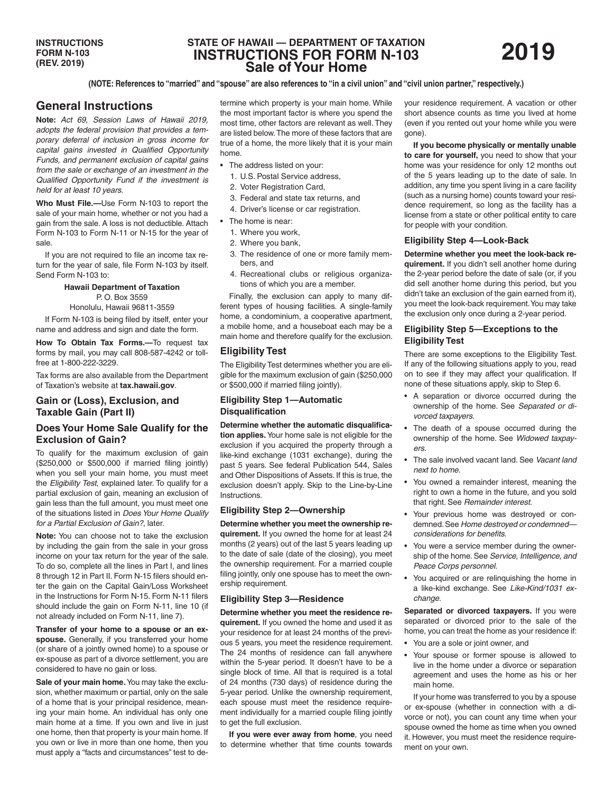# **STATE OF HAWAII — DEPARTMENT OF TAXATION INSTRUCTIONS FOR FORM N-103 Sale of Your Home**

**(NOTE: References to "married" and "spouse" are also references to "in a civil union" and "civil union partner," respectively.)**

# **General Instructions**

**Note:** *Act 69, Session Laws of Hawaii 2019, adopts the federal provision that provides a temporary deferral of inclusion in gross income for capital gains invested in Qualified Opportunity Funds, and permanent exclusion of capital gains from the sale or exchange of an investment in the Qualified Opportunity Fund if the investment is held for at least 10 years.*

**Who Must File.—**Use Form N-103 to report the sale of your main home, whether or not you had a gain from the sale. A loss is not deductible. Attach Form N-103 to Form N-11 or N-15 for the year of sale.

If you are not required to file an income tax return for the year of sale, file Form N-103 by itself. Send Form N-103 to:

#### **Hawaii Department of Taxation**

 $P$   $\cap$  Box 3559

Honolulu, Hawaii 96811-3559 If Form N-103 is being filed by itself, enter your

name and address and sign and date the form.

**How To Obtain Tax Forms.—**To request tax forms by mail, you may call 808-587-4242 or tollfree at 1-800-222-3229.

Tax forms are also available from the Department of Taxation's website at **tax.hawaii.gov**.

## **Gain or (Loss), Exclusion, and Taxable Gain (Part II)**

## **Does Your Home Sale Qualify for the Exclusion of Gain?**

To qualify for the maximum exclusion of gain (\$250,000 or \$500,000 if married filing jointly) when you sell your main home, you must meet the *Eligibility Test*, explained later. To qualify for a partial exclusion of gain, meaning an exclusion of gain less than the full amount, you must meet one of the situations listed in *Does Your Home Qualify for a Partial Exclusion of Gain?*, later.

**Note:** You can choose not to take the exclusion by including the gain from the sale in your gross income on your tax return for the year of the sale. To do so, complete all the lines in Part I, and lines 8 through 12 in Part II. Form N-15 filers should enter the gain on the Capital Gain/Loss Worksheet in the Instructions for Form N-15. Form N-11 filers should include the gain on Form N-11, line 10 (if not already included on Form N-11, line 7).

**Transfer of your home to a spouse or an exspouse.** Generally, if you transferred your home (or share of a jointly owned home) to a spouse or ex-spouse as part of a divorce settlement, you are considered to have no gain or loss.

**Sale of your main home.** You may take the exclusion, whether maximum or partial, only on the sale of a home that is your principal residence, meaning your main home. An individual has only one main home at a time. If you own and live in just one home, then that property is your main home. If you own or live in more than one home, then you must apply a "facts and circumstances" test to determine which property is your main home. While the most important factor is where you spend the most time, other factors are relevant as well. They are listed below. The more of these factors that are true of a home, the more likely that it is your main home.

- The address listed on your:
	- 1. U.S. Postal Service address,
	- 2. Voter Registration Card,
	- 3. Federal and state tax returns, and
	- 4. Driver's license or car registration.
- The home is near:
	- 1. Where you work,
	- 2. Where you bank,
	- 3. The residence of one or more family members, and
	- 4. Recreational clubs or religious organizations of which you are a member.

Finally, the exclusion can apply to many different types of housing facilities. A single-family home, a condominium, a cooperative apartment, a mobile home, and a houseboat each may be a main home and therefore qualify for the exclusion.

## **Eligibility Test**

The Eligibility Test determines whether you are eligible for the maximum exclusion of gain (\$250,000 or \$500,000 if married filing jointly).

#### **Eligibility Step 1—Automatic Disqualification**

**Determine whether the automatic disqualification applies.** Your home sale is not eligible for the exclusion if you acquired the property through a like-kind exchange (1031 exchange), during the past 5 years. See federal Publication 544, Sales and Other Dispositions of Assets. If this is true, the exclusion doesn't apply. Skip to the Line-by-Line Instructions.

#### **Eligibility Step 2—Ownership**

**Determine whether you meet the ownership requirement.** If you owned the home for at least 24 months (2 years) out of the last 5 years leading up to the date of sale (date of the closing), you meet the ownership requirement. For a married couple filing jointly, only one spouse has to meet the ownership requirement.

#### **Eligibility Step 3—Residence**

**Determine whether you meet the residence requirement.** If you owned the home and used it as your residence for at least 24 months of the previous 5 years, you meet the residence requirement. The 24 months of residence can fall anywhere within the 5-year period. It doesn't have to be a single block of time. All that is required is a total of 24 months (730 days) of residence during the 5-year period. Unlike the ownership requirement, each spouse must meet the residence requirement individually for a married couple filing jointly to get the full exclusion.

**If you were ever away from home**, you need to determine whether that time counts towards

your residence requirement. A vacation or other short absence counts as time you lived at home (even if you rented out your home while you were gone).

**If you become physically or mentally unable to care for yourself,** you need to show that your home was your residence for only 12 months out of the 5 years leading up to the date of sale. In addition, any time you spent living in a care facility (such as a nursing home) counts toward your residence requirement, so long as the facility has a license from a state or other political entity to care for people with your condition.

#### **Eligibility Step 4—Look-Back**

**Determine whether you meet the look-back requirement.** If you didn't sell another home during the 2-year period before the date of sale (or, if you did sell another home during this period, but you didn't take an exclusion of the gain earned from it), you meet the look-back requirement. You may take the exclusion only once during a 2-year period.

### **Eligibility Step 5—Exceptions to the Eligibility Test**

There are some exceptions to the Eligibility Test. If any of the following situations apply to you, read on to see if they may affect your qualification. If none of these situations apply, skip to Step 6.

- A separation or divorce occurred during the ownership of the home. See *Separated or divorced taxpayers*.
- The death of a spouse occurred during the ownership of the home. See *Widowed taxpayers*.
- The sale involved vacant land. See *Vacant land next to home*.
- You owned a remainder interest, meaning the right to own a home in the future, and you sold that right. See *Remainder interest*.
- Your previous home was destroyed or condemned. See *Home destroyed or condemned considerations for benefits*.
- You were a service member during the ownership of the home. See *Service, Intelligence, and Peace Corps personnel*.
- You acquired or are relinquishing the home in a like-kind exchange. See *Like-Kind/1031 exchange*.

**Separated or divorced taxpayers.** If you were separated or divorced prior to the sale of the home, you can treat the home as your residence if:

- You are a sole or joint owner, and
- Your spouse or former spouse is allowed to live in the home under a divorce or separation agreement and uses the home as his or her main home.

If your home was transferred to you by a spouse or ex-spouse (whether in connection with a divorce or not), you can count any time when your spouse owned the home as time when you owned it. However, you must meet the residence requirement on your own.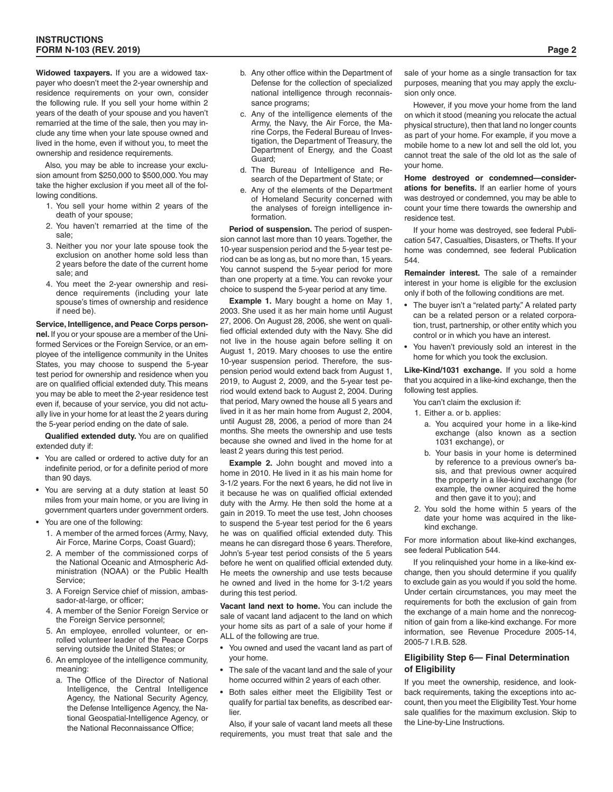**Widowed taxpayers.** If you are a widowed taxpayer who doesn't meet the 2-year ownership and residence requirements on your own, consider the following rule. If you sell your home within 2 years of the death of your spouse and you haven't remarried at the time of the sale, then you may include any time when your late spouse owned and lived in the home, even if without you, to meet the ownership and residence requirements.

Also, you may be able to increase your exclusion amount from \$250,000 to \$500,000. You may take the higher exclusion if you meet all of the following conditions.

- 1. You sell your home within 2 years of the death of your spouse;
- 2. You haven't remarried at the time of the sale;
- 3. Neither you nor your late spouse took the exclusion on another home sold less than 2 years before the date of the current home sale; and
- 4. You meet the 2-year ownership and residence requirements (including your late spouse's times of ownership and residence if need be).

**Service, Intelligence, and Peace Corps personnel.** If you or your spouse are a member of the Uniformed Services or the Foreign Service, or an employee of the intelligence community in the Unites States, you may choose to suspend the 5-year test period for ownership and residence when you are on qualified official extended duty. This means you may be able to meet the 2-year residence test even if, because of your service, you did not actually live in your home for at least the 2 years during the 5-year period ending on the date of sale.

**Qualified extended duty.** You are on qualified extended duty if:

- You are called or ordered to active duty for an indefinite period, or for a definite period of more than 90 days.
- You are serving at a duty station at least 50 miles from your main home, or you are living in government quarters under government orders.
- You are one of the following:
	- 1. A member of the armed forces (Army, Navy, Air Force, Marine Corps, Coast Guard);
	- 2. A member of the commissioned corps of the National Oceanic and Atmospheric Administration (NOAA) or the Public Health Service;
	- 3. A Foreign Service chief of mission, ambassador-at-large, or officer;
	- 4. A member of the Senior Foreign Service or the Foreign Service personnel;
	- 5. An employee, enrolled volunteer, or enrolled volunteer leader of the Peace Corps serving outside the United States; or
	- 6. An employee of the intelligence community, meaning:
		- a. The Office of the Director of National Intelligence, the Central Intelligence Agency, the National Security Agency, the Defense Intelligence Agency, the National Geospatial-Intelligence Agency, or the National Reconnaissance Office;
- b. Any other office within the Department of Defense for the collection of specialized national intelligence through reconnaissance programs;
- c. Any of the intelligence elements of the Army, the Navy, the Air Force, the Marine Corps, the Federal Bureau of Investigation, the Department of Treasury, the Department of Energy, and the Coast Guard;
- d. The Bureau of Intelligence and Research of the Department of State; or
- e. Any of the elements of the Department of Homeland Security concerned with the analyses of foreign intelligence information.

**Period of suspension.** The period of suspension cannot last more than 10 years. Together, the 10-year suspension period and the 5-year test period can be as long as, but no more than, 15 years. You cannot suspend the 5-year period for more than one property at a time. You can revoke your choice to suspend the 5-year period at any time.

**Example 1.** Mary bought a home on May 1, 2003. She used it as her main home until August 27, 2006. On August 28, 2006, she went on qualified official extended duty with the Navy. She did not live in the house again before selling it on August 1, 2019. Mary chooses to use the entire 10-year suspension period. Therefore, the suspension period would extend back from August 1, 2019, to August 2, 2009, and the 5-year test period would extend back to August 2, 2004. During that period, Mary owned the house all 5 years and lived in it as her main home from August 2, 2004, until August 28, 2006, a period of more than 24 months. She meets the ownership and use tests because she owned and lived in the home for at least 2 years during this test period.

**Example 2.** John bought and moved into a home in 2010. He lived in it as his main home for 3-1/2 years. For the next 6 years, he did not live in it because he was on qualified official extended duty with the Army. He then sold the home at a gain in 2019. To meet the use test, John chooses to suspend the 5-year test period for the 6 years he was on qualified official extended duty. This means he can disregard those 6 years. Therefore, John's 5-year test period consists of the 5 years before he went on qualified official extended duty. He meets the ownership and use tests because he owned and lived in the home for 3-1/2 years during this test period.

**Vacant land next to home.** You can include the sale of vacant land adjacent to the land on which your home sits as part of a sale of your home if ALL of the following are true.

- You owned and used the vacant land as part of your home.
- The sale of the vacant land and the sale of your home occurred within 2 years of each other.
- Both sales either meet the Eligibility Test or qualify for partial tax benefits, as described earlier.

Also, if your sale of vacant land meets all these requirements, you must treat that sale and the sale of your home as a single transaction for tax purposes, meaning that you may apply the exclusion only once.

However, if you move your home from the land on which it stood (meaning you relocate the actual physical structure), then that land no longer counts as part of your home. For example, if you move a mobile home to a new lot and sell the old lot, you cannot treat the sale of the old lot as the sale of your home.

**Home destroyed or condemned—considerations for benefits.** If an earlier home of yours was destroyed or condemned, you may be able to count your time there towards the ownership and residence test.

If your home was destroyed, see federal Publication 547, Casualties, Disasters, or Thefts. If your home was condemned, see federal Publication 544.

**Remainder interest.** The sale of a remainder interest in your home is eligible for the exclusion only if both of the following conditions are met.

- The buyer isn't a "related party." A related party can be a related person or a related corporation, trust, partnership, or other entity which you control or in which you have an interest.
- You haven't previously sold an interest in the home for which you took the exclusion.

**Like-Kind/1031 exchange.** If you sold a home that you acquired in a like-kind exchange, then the following test applies.

You can't claim the exclusion if:

- 1. Either a. or b. applies:
	- a. You acquired your home in a like-kind exchange (also known as a section 1031 exchange), or
	- b. Your basis in your home is determined by reference to a previous owner's basis, and that previous owner acquired the property in a like-kind exchange (for example, the owner acquired the home and then gave it to you); and
- 2. You sold the home within 5 years of the date your home was acquired in the likekind exchange.

For more information about like-kind exchanges, see federal Publication 544.

If you relinquished your home in a like-kind exchange, then you should determine if you qualify to exclude gain as you would if you sold the home. Under certain circumstances, you may meet the requirements for both the exclusion of gain from the exchange of a main home and the nonrecognition of gain from a like-kind exchange. For more information, see Revenue Procedure 2005-14, 2005-7 I.R.B. 528.

#### **Eligibility Step 6— Final Determination of Eligibility**

If you meet the ownership, residence, and lookback requirements, taking the exceptions into account, then you meet the Eligibility Test. Your home sale qualifies for the maximum exclusion. Skip to the Line-by-Line Instructions.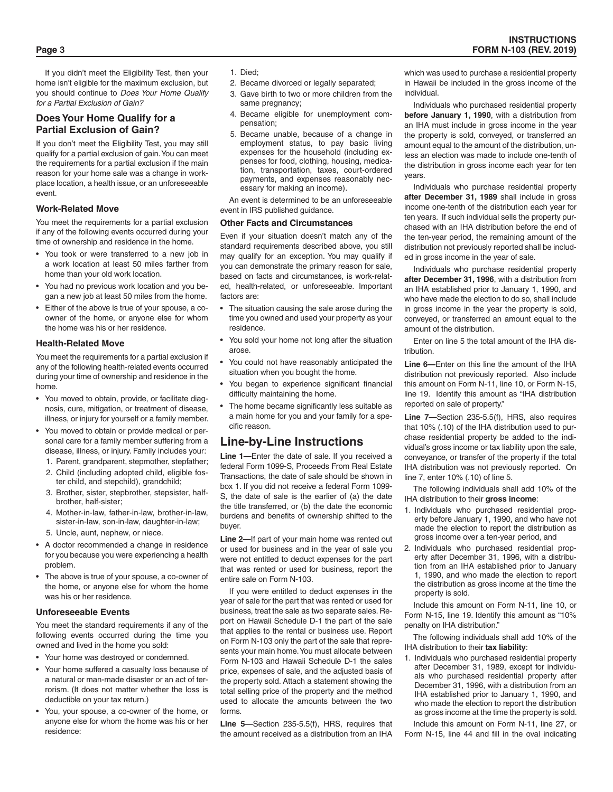If you didn't meet the Eligibility Test, then your home isn't eligible for the maximum exclusion, but you should continue to *Does Your Home Qualify for a Partial Exclusion of Gain?*

## **Does Your Home Qualify for a Partial Exclusion of Gain?**

If you don't meet the Eligibility Test, you may still qualify for a partial exclusion of gain. You can meet the requirements for a partial exclusion if the main reason for your home sale was a change in workplace location, a health issue, or an unforeseeable event.

#### **Work-Related Move**

You meet the requirements for a partial exclusion if any of the following events occurred during your time of ownership and residence in the home.

- You took or were transferred to a new job in a work location at least 50 miles farther from home than your old work location.
- You had no previous work location and you began a new job at least 50 miles from the home.
- Either of the above is true of your spouse, a coowner of the home, or anyone else for whom the home was his or her residence.

#### **Health-Related Move**

You meet the requirements for a partial exclusion if any of the following health-related events occurred during your time of ownership and residence in the home.

- You moved to obtain, provide, or facilitate diagnosis, cure, mitigation, or treatment of disease, illness, or injury for yourself or a family member.
- You moved to obtain or provide medical or personal care for a family member suffering from a disease, illness, or injury. Family includes your:
	- 1. Parent, grandparent, stepmother, stepfather;
	- 2. Child (including adopted child, eligible foster child, and stepchild), grandchild;
	- 3. Brother, sister, stepbrother, stepsister, halfbrother, half-sister;
	- 4. Mother-in-law, father-in-law, brother-in-law, sister-in-law, son-in-law, daughter-in-law;
	- 5. Uncle, aunt, nephew, or niece.
- A doctor recommended a change in residence for you because you were experiencing a health problem.
- The above is true of your spouse, a co-owner of the home, or anyone else for whom the home was his or her residence.

#### **Unforeseeable Events**

You meet the standard requirements if any of the following events occurred during the time you owned and lived in the home you sold:

- Your home was destroyed or condemned.
- Your home suffered a casualty loss because of a natural or man-made disaster or an act of terrorism. (It does not matter whether the loss is deductible on your tax return.)
- You, your spouse, a co-owner of the home, or anyone else for whom the home was his or her residence:
- 1. Died;
- 2. Became divorced or legally separated;
- 3. Gave birth to two or more children from the same pregnancy;
- 4. Became eligible for unemployment compensation;
- 5. Became unable, because of a change in employment status, to pay basic living expenses for the household (including expenses for food, clothing, housing, medication, transportation, taxes, court-ordered payments, and expenses reasonably necessary for making an income).

An event is determined to be an unforeseeable event in IRS published guidance.

#### **Other Facts and Circumstances**

Even if your situation doesn't match any of the standard requirements described above, you still may qualify for an exception. You may qualify if you can demonstrate the primary reason for sale, based on facts and circumstances, is work-related, health-related, or unforeseeable. Important factors are:

- The situation causing the sale arose during the time you owned and used your property as your residence.
- You sold your home not long after the situation arose.
- You could not have reasonably anticipated the situation when you bought the home.
- You began to experience significant financial difficulty maintaining the home.
- The home became significantly less suitable as a main home for you and your family for a specific reason.

# **Line-by-Line Instructions**

**Line 1—**Enter the date of sale. If you received a federal Form 1099-S, Proceeds From Real Estate Transactions, the date of sale should be shown in box 1. If you did not receive a federal Form 1099- S, the date of sale is the earlier of (a) the date the title transferred, or (b) the date the economic burdens and benefits of ownership shifted to the buyer.

**Line 2—**If part of your main home was rented out or used for business and in the year of sale you were not entitled to deduct expenses for the part that was rented or used for business, report the entire sale on Form N-103.

If you were entitled to deduct expenses in the year of sale for the part that was rented or used for business, treat the sale as two separate sales. Report on Hawaii Schedule D-1 the part of the sale that applies to the rental or business use. Report on Form N-103 only the part of the sale that represents your main home. You must allocate between Form N-103 and Hawaii Schedule D-1 the sales price, expenses of sale, and the adjusted basis of the property sold. Attach a statement showing the total selling price of the property and the method used to allocate the amounts between the two forms.

**Line 5—**Section 235-5.5(f), HRS, requires that the amount received as a distribution from an IHA

which was used to purchase a residential property in Hawaii be included in the gross income of the individual.

Individuals who purchased residential property **before January 1, 1990**, with a distribution from an IHA must include in gross income in the year the property is sold, conveyed, or transferred an amount equal to the amount of the distribution, unless an election was made to include one-tenth of the distribution in gross income each year for ten years.

Individuals who purchase residential property **after December 31, 1989** shall include in gross income one-tenth of the distribution each year for ten years. If such individual sells the property purchased with an IHA distribution before the end of the ten-year period, the remaining amount of the distribution not previously reported shall be included in gross income in the year of sale.

Individuals who purchase residential property **after December 31, 1996**, with a distribution from an IHA established prior to January 1, 1990, and who have made the election to do so, shall include in gross income in the year the property is sold, conveyed, or transferred an amount equal to the amount of the distribution.

Enter on line 5 the total amount of the IHA distribution.

**Line 6—**Enter on this line the amount of the IHA distribution not previously reported. Also include this amount on Form N-11, line 10, or Form N-15, line 19. Identify this amount as "IHA distribution reported on sale of property."

**Line 7—**Section 235-5.5(f), HRS, also requires that 10% (.10) of the IHA distribution used to purchase residential property be added to the individual's gross income or tax liability upon the sale, conveyance, or transfer of the property if the total IHA distribution was not previously reported. On line 7, enter 10% (.10) of line 5.

The following individuals shall add 10% of the IHA distribution to their **gross income**:

- 1. Individuals who purchased residential property before January 1, 1990, and who have not made the election to report the distribution as gross income over a ten-year period, and
- 2. Individuals who purchased residential property after December 31, 1996, with a distribution from an IHA established prior to January 1, 1990, and who made the election to report the distribution as gross income at the time the property is sold.

Include this amount on Form N-11, line 10, or Form N-15, line 19. Identify this amount as "10% penalty on IHA distribution."

The following individuals shall add 10% of the IHA distribution to their **tax liability**:

1. Individuals who purchased residential property after December 31, 1989, except for individuals who purchased residential property after December 31, 1996, with a distribution from an IHA established prior to January 1, 1990, and who made the election to report the distribution as gross income at the time the property is sold.

Include this amount on Form N-11, line 27, or Form N-15, line 44 and fill in the oval indicating